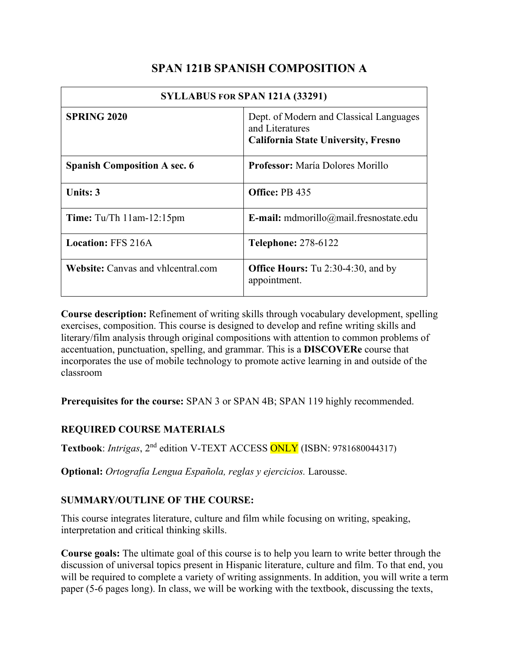# **SPAN 121B SPANISH COMPOSITION A**

| SYLLABUS FOR SPAN 121A (33291)            |                                                                                                          |  |  |
|-------------------------------------------|----------------------------------------------------------------------------------------------------------|--|--|
| <b>SPRING 2020</b>                        | Dept. of Modern and Classical Languages<br>and Literatures<br><b>California State University, Fresno</b> |  |  |
| <b>Spanish Composition A sec. 6</b>       | <b>Professor:</b> María Dolores Morillo                                                                  |  |  |
| <b>Units: 3</b>                           | Office: PB 435                                                                                           |  |  |
| <b>Time:</b> Tu/Th $11am-12:15pm$         | E-mail: mdmorillo@mail.fresnostate.edu                                                                   |  |  |
| <b>Location: FFS 216A</b>                 | <b>Telephone: 278-6122</b>                                                                               |  |  |
| <b>Website:</b> Canvas and vhlcentral.com | <b>Office Hours:</b> Tu 2:30-4:30, and by<br>appointment.                                                |  |  |

**Course description:** Refinement of writing skills through vocabulary development, spelling exercises, composition. This course is designed to develop and refine writing skills and literary/film analysis through original compositions with attention to common problems of accentuation, punctuation, spelling, and grammar. This is a **DISCOVERe** course that incorporates the use of mobile technology to promote active learning in and outside of the classroom

**Prerequisites for the course:** SPAN 3 or SPAN 4B; SPAN 119 highly recommended.

## **REQUIRED COURSE MATERIALS**

**Textbook**: *Intrigas*, 2nd edition V-TEXT ACCESS ONLY (ISBN: 9781680044317)

**Optional:** *Ortografía Lengua Española, reglas y ejercicios.* Larousse.

## **SUMMARY/OUTLINE OF THE COURSE:**

This course integrates literature, culture and film while focusing on writing, speaking, interpretation and critical thinking skills.

**Course goals:** The ultimate goal of this course is to help you learn to write better through the discussion of universal topics present in Hispanic literature, culture and film. To that end, you will be required to complete a variety of writing assignments. In addition, you will write a term paper (5-6 pages long). In class, we will be working with the textbook, discussing the texts,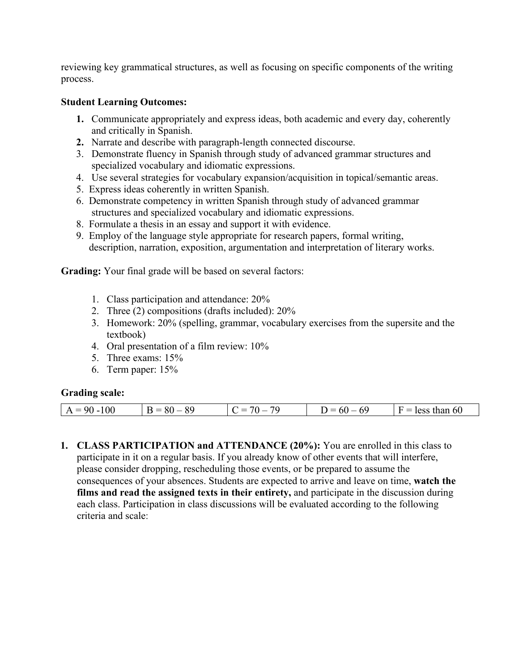reviewing key grammatical structures, as well as focusing on specific components of the writing process.

#### **Student Learning Outcomes:**

- **1.** Communicate appropriately and express ideas, both academic and every day, coherently and critically in Spanish.
- **2.** Narrate and describe with paragraph-length connected discourse.
- 3. Demonstrate fluency in Spanish through study of advanced grammar structures and specialized vocabulary and idiomatic expressions.
- 4. Use several strategies for vocabulary expansion/acquisition in topical/semantic areas.
- 5. Express ideas coherently in written Spanish.
- 6. Demonstrate competency in written Spanish through study of advanced grammar structures and specialized vocabulary and idiomatic expressions.
- 8. Formulate a thesis in an essay and support it with evidence.
- 9. Employ of the language style appropriate for research papers, formal writing, description, narration, exposition, argumentation and interpretation of literary works.

**Grading:** Your final grade will be based on several factors:

- 1. Class participation and attendance: 20%
- 2. Three (2) compositions (drafts included): 20%
- 3. Homework: 20% (spelling, grammar, vocabulary exercises from the supersite and the textbook)
- 4. Oral presentation of a film review: 10%
- 5. Three exams: 15%
- 6. Term paper: 15%

#### **Grading scale:**

| 70<br>$\sim$ $\sim$<br>__<br>$t$ is our<br>51<br>$\mathbf{a}$<br>--<br>$\sim$<br>. .<br> |
|------------------------------------------------------------------------------------------|
|------------------------------------------------------------------------------------------|

**1. CLASS PARTICIPATION and ATTENDANCE (20%):** You are enrolled in this class to participate in it on a regular basis. If you already know of other events that will interfere, please consider dropping, rescheduling those events, or be prepared to assume the consequences of your absences. Students are expected to arrive and leave on time, **watch the films and read the assigned texts in their entirety,** and participate in the discussion during each class. Participation in class discussions will be evaluated according to the following criteria and scale: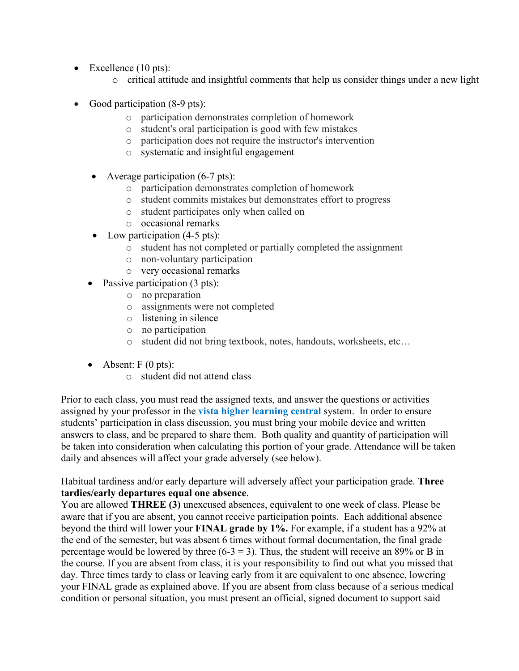- Excellence (10 pts):
	- o critical attitude and insightful comments that help us consider things under a new light
- Good participation (8-9 pts):
	- o participation demonstrates completion of homework
	- o student's oral participation is good with few mistakes
	- o participation does not require the instructor's intervention
	- o systematic and insightful engagement
	- Average participation (6-7 pts):
		- o participation demonstrates completion of homework
		- o student commits mistakes but demonstrates effort to progress
		- o student participates only when called on
		- o occasional remarks
	- Low participation (4-5 pts):
		- o student has not completed or partially completed the assignment
		- o non-voluntary participation
		- o very occasional remarks
	- Passive participation (3 pts):
		- o no preparation
		- o assignments were not completed
		- o listening in silence
		- o no participation
		- o student did not bring textbook, notes, handouts, worksheets, etc…
	- Absent:  $F(0 \text{ pts})$ :
		- o student did not attend class

Prior to each class, you must read the assigned texts, and answer the questions or activities assigned by your professor in the **vista higher learning central** system. In order to ensure students' participation in class discussion, you must bring your mobile device and written answers to class, and be prepared to share them. Both quality and quantity of participation will be taken into consideration when calculating this portion of your grade. Attendance will be taken daily and absences will affect your grade adversely (see below).

Habitual tardiness and/or early departure will adversely affect your participation grade. **Three tardies/early departures equal one absence**.

You are allowed **THREE (3)** unexcused absences, equivalent to one week of class. Please be aware that if you are absent, you cannot receive participation points. Each additional absence beyond the third will lower your **FINAL grade by 1%.** For example, if a student has a 92% at the end of the semester, but was absent 6 times without formal documentation, the final grade percentage would be lowered by three  $(6-3 = 3)$ . Thus, the student will receive an 89% or B in the course. If you are absent from class, it is your responsibility to find out what you missed that day. Three times tardy to class or leaving early from it are equivalent to one absence, lowering your FINAL grade as explained above. If you are absent from class because of a serious medical condition or personal situation, you must present an official, signed document to support said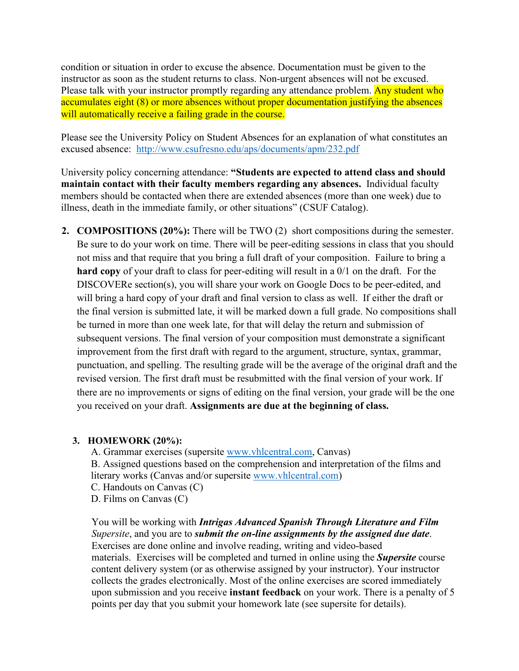condition or situation in order to excuse the absence. Documentation must be given to the instructor as soon as the student returns to class. Non-urgent absences will not be excused. Please talk with your instructor promptly regarding any attendance problem. Any student who accumulates eight (8) or more absences without proper documentation justifying the absences will automatically receive a failing grade in the course.

Please see the University Policy on Student Absences for an explanation of what constitutes an excused absence: <http://www.csufresno.edu/aps/documents/apm/232.pdf>

University policy concerning attendance: **"Students are expected to attend class and should maintain contact with their faculty members regarding any absences.** Individual faculty members should be contacted when there are extended absences (more than one week) due to illness, death in the immediate family, or other situations" (CSUF Catalog).

**2. COMPOSITIONS (20%):** There will be TWO (2) short compositions during the semester. Be sure to do your work on time. There will be peer-editing sessions in class that you should not miss and that require that you bring a full draft of your composition. Failure to bring a **hard copy** of your draft to class for peer-editing will result in a 0/1 on the draft. For the DISCOVERe section(s), you will share your work on Google Docs to be peer-edited, and will bring a hard copy of your draft and final version to class as well. If either the draft or the final version is submitted late, it will be marked down a full grade. No compositions shall be turned in more than one week late, for that will delay the return and submission of subsequent versions. The final version of your composition must demonstrate a significant improvement from the first draft with regard to the argument, structure, syntax, grammar, punctuation, and spelling. The resulting grade will be the average of the original draft and the revised version. The first draft must be resubmitted with the final version of your work. If there are no improvements or signs of editing on the final version, your grade will be the one you received on your draft. **Assignments are due at the beginning of class.**

#### **3. HOMEWORK (20%):**

A. Grammar exercises (supersite [www.vhlcentral.com,](http://www.vhlcentral.com/) Canvas) B. Assigned questions based on the comprehension and interpretation of the films and literary works (Canvas and/or supersite [www.vhlcentral.com\)](http://www.vhlcentral.com/) C. Handouts on Canvas (C)

D. Films on Canvas (C)

You will be working with *Intrigas Advanced Spanish Through Literature and Film Supersite*, and you are to *submit the on-line assignments by the assigned due date*. Exercises are done online and involve reading, writing and video-based materials. Exercises will be completed and turned in online using the *Supersite* course content delivery system (or as otherwise assigned by your instructor). Your instructor collects the grades electronically. Most of the online exercises are scored immediately upon submission and you receive **instant feedback** on your work. There is a penalty of 5 points per day that you submit your homework late (see supersite for details).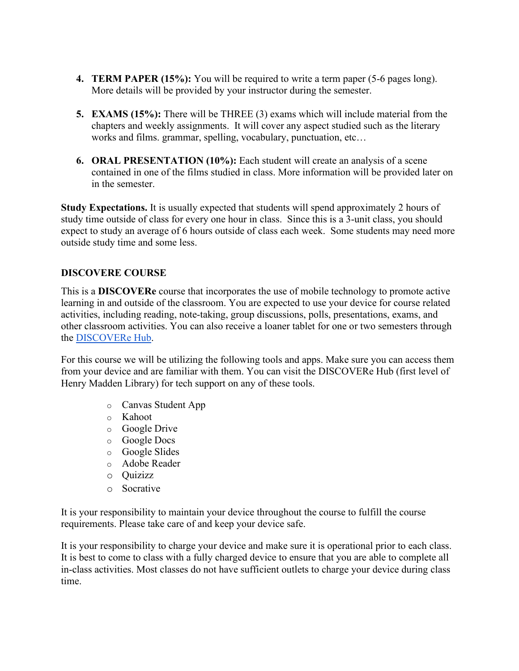- **4. TERM PAPER (15%):** You will be required to write a term paper (5-6 pages long). More details will be provided by your instructor during the semester.
- **5. EXAMS (15%):** There will be THREE (3) exams which will include material from the chapters and weekly assignments. It will cover any aspect studied such as the literary works and films. grammar, spelling, vocabulary, punctuation, etc…
- **6. ORAL PRESENTATION (10%):** Each student will create an analysis of a scene contained in one of the films studied in class. More information will be provided later on in the semester.

**Study Expectations.** It is usually expected that students will spend approximately 2 hours of study time outside of class for every one hour in class. Since this is a 3-unit class, you should expect to study an average of 6 hours outside of class each week. Some students may need more outside study time and some less.

### **DISCOVERE COURSE**

This is a **DISCOVERe** course that incorporates the use of mobile technology to promote active learning in and outside of the classroom. You are expected to use your device for course related activities, including reading, note-taking, group discussions, polls, presentations, exams, and other classroom activities. You can also receive a loaner tablet for one or two semesters through the [DISCOVERe Hub.](http://www.fresnostate.edu/president/discovere/discoverecourses.html)

For this course we will be utilizing the following tools and apps. Make sure you can access them from your device and are familiar with them. You can visit the DISCOVERe Hub (first level of Henry Madden Library) for tech support on any of these tools.

- o Canvas Student App
- o Kahoot
- o Google Drive
- o Google Docs
- o Google Slides
- o Adobe Reader
- o Quizizz
- o Socrative

It is your responsibility to maintain your device throughout the course to fulfill the course requirements. Please take care of and keep your device safe.

It is your responsibility to charge your device and make sure it is operational prior to each class. It is best to come to class with a fully charged device to ensure that you are able to complete all in-class activities. Most classes do not have sufficient outlets to charge your device during class time.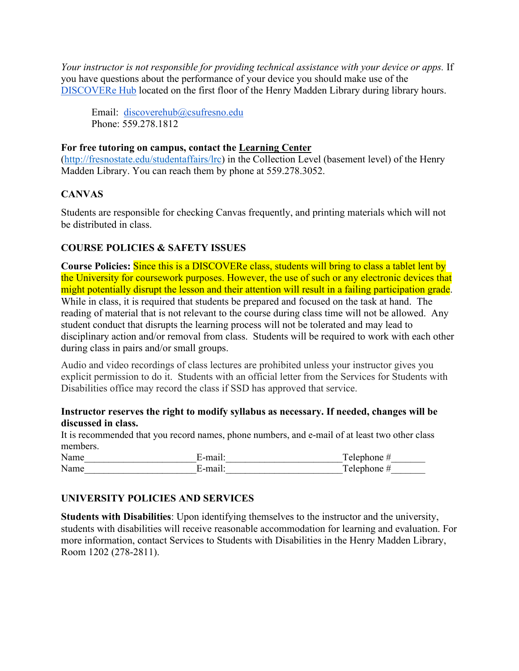*Your instructor is not responsible for providing technical assistance with your device or apps.* If you have questions about the performance of your device you should make use of the [DISCOVERe Hub](http://www.fresnostate.edu/president/discovere/index.html) located on the first floor of the Henry Madden Library during library hours.

Email: discoverehub@csufresno.edu Phone: 559.278.1812

#### **For free tutoring on campus, contact the [Learning Center](http://www.fresnostate.edu/learningcenter)**

[\(http://fresnostate.edu/studentaffairs/lrc\)](http://fresnostate.edu/studentaffairs/lrc) in the Collection Level (basement level) of the Henry Madden Library. You can reach them by phone at 559.278.3052.

### **CANVAS**

Students are responsible for checking Canvas frequently, and printing materials which will not be distributed in class.

### **COURSE POLICIES & SAFETY ISSUES**

**Course Policies:** Since this is a DISCOVERe class, students will bring to class a tablet lent by the University for coursework purposes. However, the use of such or any electronic devices that might potentially disrupt the lesson and their attention will result in a failing participation grade. While in class, it is required that students be prepared and focused on the task at hand. The reading of material that is not relevant to the course during class time will not be allowed. Any student conduct that disrupts the learning process will not be tolerated and may lead to disciplinary action and/or removal from class. Students will be required to work with each other during class in pairs and/or small groups.

Audio and video recordings of class lectures are prohibited unless your instructor gives you explicit permission to do it. Students with an official letter from the Services for Students with Disabilities office may record the class if SSD has approved that service.

#### **Instructor reserves the right to modify syllabus as necessary. If needed, changes will be discussed in class.**

It is recommended that you record names, phone numbers, and e-mail of at least two other class members.

| ٦T<br>$-$<br>.    |     | - |
|-------------------|-----|---|
| <b>T</b><br>11111 | . . |   |

### **UNIVERSITY POLICIES AND SERVICES**

**Students with Disabilities**: Upon identifying themselves to the instructor and the university, students with disabilities will receive reasonable accommodation for learning and evaluation. For more information, contact Services to Students with Disabilities in the Henry Madden Library, Room 1202 (278-2811).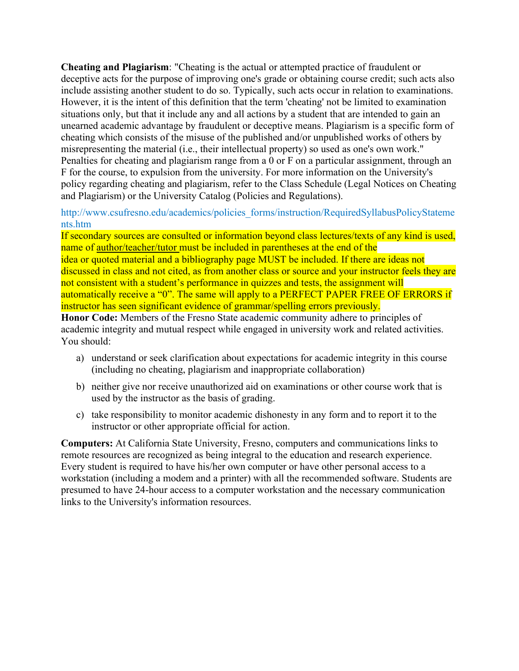**Cheating and Plagiarism**: "Cheating is the actual or attempted practice of fraudulent or deceptive acts for the purpose of improving one's grade or obtaining course credit; such acts also include assisting another student to do so. Typically, such acts occur in relation to examinations. However, it is the intent of this definition that the term 'cheating' not be limited to examination situations only, but that it include any and all actions by a student that are intended to gain an unearned academic advantage by fraudulent or deceptive means. Plagiarism is a specific form of cheating which consists of the misuse of the published and/or unpublished works of others by misrepresenting the material (i.e., their intellectual property) so used as one's own work." Penalties for cheating and plagiarism range from a 0 or F on a particular assignment, through an F for the course, to expulsion from the university. For more information on the University's policy regarding cheating and plagiarism, refer to the Class Schedule (Legal Notices on Cheating and Plagiarism) or the University Catalog (Policies and Regulations).

http://www.csufresno.edu/academics/policies\_forms/instruction/RequiredSyllabusPolicyStateme nts.htm

If secondary sources are consulted or information beyond class lectures/texts of any kind is used, name of author/teacher/tutor must be included in parentheses at the end of the idea or quoted material and a bibliography page MUST be included. If there are ideas not discussed in class and not cited, as from another class or source and your instructor feels they are not consistent with a student's performance in quizzes and tests, the assignment will automatically receive a "0". The same will apply to a PERFECT PAPER FREE OF ERRORS if instructor has seen significant evidence of grammar/spelling errors previously.

**Honor Code:** Members of the Fresno State academic community adhere to principles of academic integrity and mutual respect while engaged in university work and related activities. You should:

- a) understand or seek clarification about expectations for academic integrity in this course (including no cheating, plagiarism and inappropriate collaboration)
- b) neither give nor receive unauthorized aid on examinations or other course work that is used by the instructor as the basis of grading.
- c) take responsibility to monitor academic dishonesty in any form and to report it to the instructor or other appropriate official for action.

**Computers:** At California State University, Fresno, computers and communications links to remote resources are recognized as being integral to the education and research experience. Every student is required to have his/her own computer or have other personal access to a workstation (including a modem and a printer) with all the recommended software. Students are presumed to have 24-hour access to a computer workstation and the necessary communication links to the University's information resources.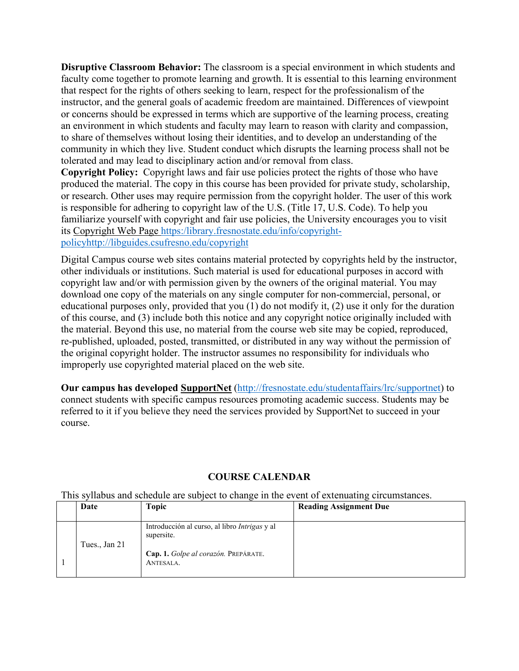**Disruptive Classroom Behavior:** The classroom is a special environment in which students and faculty come together to promote learning and growth. It is essential to this learning environment that respect for the rights of others seeking to learn, respect for the professionalism of the instructor, and the general goals of academic freedom are maintained. Differences of viewpoint or concerns should be expressed in terms which are supportive of the learning process, creating an environment in which students and faculty may learn to reason with clarity and compassion, to share of themselves without losing their identities, and to develop an understanding of the community in which they live. Student conduct which disrupts the learning process shall not be tolerated and may lead to disciplinary action and/or removal from class.

**Copyright Policy:** Copyright laws and fair use policies protect the rights of those who have produced the material. The copy in this course has been provided for private study, scholarship, or research. Other uses may require permission from the copyright holder. The user of this work is responsible for adhering to copyright law of the U.S. (Title 17, U.S. Code). To help you familiarize yourself with copyright and fair use policies, the University encourages you to visit its [Copyright Web Page](http://libguides.csufresno.edu/copyright) [https:/library.fresnostate.edu/info/copyright](https://library.fresnostate.edu/info/copyright-policy)[policy](https://library.fresnostate.edu/info/copyright-policy)<http://libguides.csufresno.edu/copyright>

Digital Campus course web sites contains material protected by copyrights held by the instructor, other individuals or institutions. Such material is used for educational purposes in accord with copyright law and/or with permission given by the owners of the original material. You may download one copy of the materials on any single computer for non-commercial, personal, or educational purposes only, provided that you (1) do not modify it, (2) use it only for the duration of this course, and (3) include both this notice and any copyright notice originally included with the material. Beyond this use, no material from the course web site may be copied, reproduced, re-published, uploaded, posted, transmitted, or distributed in any way without the permission of the original copyright holder. The instructor assumes no responsibility for individuals who improperly use copyrighted material placed on the web site.

**Our campus has developed [SupportNet](http://fresnostate.edu/studentaffairs/lrc/supportnet/)** [\(http://fresnostate.edu/studentaffairs/lrc/supportnet\)](http://fresnostate.edu/studentaffairs/lrc/supportnet) to connect students with specific campus resources promoting academic success. Students may be referred to it if you believe they need the services provided by SupportNet to succeed in your course.

### **COURSE CALENDAR**

This syllabus and schedule are subject to change in the event of extenuating circumstances.

| Date          | Topic                                                                                                                   | <b>Reading Assignment Due</b> |
|---------------|-------------------------------------------------------------------------------------------------------------------------|-------------------------------|
| Tues., Jan 21 | Introducción al curso, al libro <i>Intrigas</i> y al<br>supersite.<br>Cap. 1. Golpe al corazón. PREPÁRATE.<br>ANTESALA. |                               |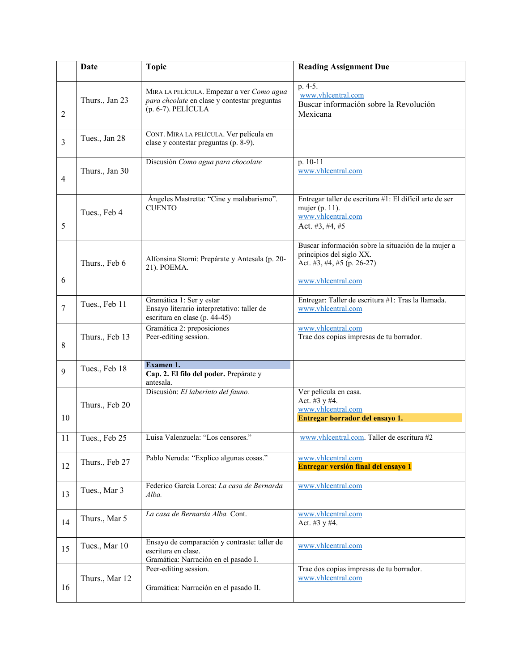|                | Date           | <b>Topic</b>                                                                                                       | <b>Reading Assignment Due</b>                                                                                                       |
|----------------|----------------|--------------------------------------------------------------------------------------------------------------------|-------------------------------------------------------------------------------------------------------------------------------------|
| 2              | Thurs., Jan 23 | MIRA LA PELÍCULA. Empezar a ver Como agua<br>para chcolate en clase y contestar preguntas<br>$(p. 6-7)$ . PELÍCULA | p. 4-5.<br>www.vhlcentral.com<br>Buscar información sobre la Revolución<br>Mexicana                                                 |
| $\overline{3}$ | Tues., Jan 28  | CONT. MIRA LA PELÍCULA. Ver película en<br>clase y contestar preguntas (p. 8-9).                                   |                                                                                                                                     |
| 4              | Thurs., Jan 30 | Discusión Como agua para chocolate                                                                                 | p. 10-11<br>www.vhlcentral.com                                                                                                      |
| 5              | Tues., Feb 4   | Ángeles Mastretta: "Cine y malabarismo".<br><b>CUENTO</b>                                                          | Entregar taller de escritura #1: El difícil arte de ser<br>mujer (p. 11).<br>www.vhlcentral.com<br>Act. #3, #4, #5                  |
| 6              | Thurs., Feb 6  | Alfonsina Storni: Prepárate y Antesala (p. 20-<br>21). POEMA.                                                      | Buscar información sobre la situación de la mujer a<br>principios del siglo XX.<br>Act. #3, #4, #5 (p. 26-27)<br>www.vhlcentral.com |
| $\overline{7}$ | Tues., Feb 11  | Gramática 1: Ser y estar<br>Ensayo literario interpretativo: taller de<br>escritura en clase (p. 44-45)            | Entregar: Taller de escritura #1: Tras la llamada.<br>www.vhlcentral.com                                                            |
| 8              | Thurs., Feb 13 | Gramática 2: preposiciones<br>Peer-editing session.                                                                | www.vhlcentral.com<br>Trae dos copias impresas de tu borrador.                                                                      |
| 9              | Tues., Feb 18  | Examen 1.<br>Cap. 2. El filo del poder. Prepárate y<br>antesala.                                                   |                                                                                                                                     |
| 10             | Thurs., Feb 20 | Discusión: El laberinto del fauno.                                                                                 | Ver película en casa.<br>Act. #3 y #4.<br>www.vhlcentral.com<br>Entregar borrador del ensayo 1.                                     |
| 11             | Tues., Feb 25  | Luisa Valenzuela: "Los censores."                                                                                  | www.vhlcentral.com. Taller de escritura #2                                                                                          |
| 12             | Thurs., Feb 27 | Pablo Neruda: "Explico algunas cosas."                                                                             | www.vhlcentral.com<br>Entregar versión final del ensayo 1                                                                           |
| 13             | Tues., Mar 3   | Federico García Lorca: La casa de Bernarda<br>Alba.                                                                | www.vhlcentral.com                                                                                                                  |
| 14             | Thurs., Mar 5  | La casa de Bernarda Alba. Cont.                                                                                    | www.vhlcentral.com<br>Act. #3 y #4.                                                                                                 |
| 15             | Tues., Mar 10  | Ensayo de comparación y contraste: taller de<br>escritura en clase.<br>Gramática: Narración en el pasado I.        | www.vhlcentral.com                                                                                                                  |
| 16             | Thurs., Mar 12 | Peer-editing session.<br>Gramática: Narración en el pasado II.                                                     | Trae dos copias impresas de tu borrador.<br>www.vhlcentral.com                                                                      |